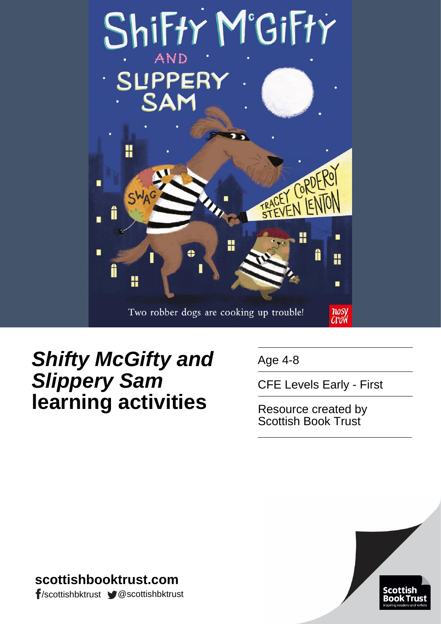

# *Shifty McGifty and Slippery Sam* **learning activities**

Age 4-8

CFE Levels Early - First

Resource created by Scottish Book Trust



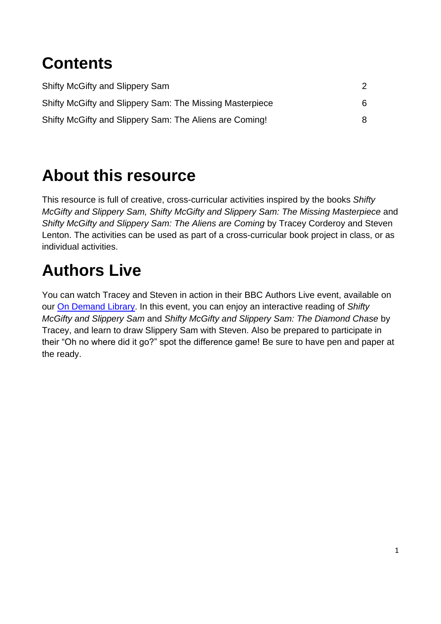# **Contents**

| Shifty McGifty and Slippery Sam                          |   |
|----------------------------------------------------------|---|
| Shifty McGifty and Slippery Sam: The Missing Masterpiece | 6 |
| Shifty McGifty and Slippery Sam: The Aliens are Coming!  | 8 |

# **About this resource**

This resource is full of creative, cross-curricular activities inspired by the books *Shifty McGifty and Slippery Sam, Shifty McGifty and Slippery Sam: The Missing Masterpiece and Shifty McGifty and Slippery Sam: The Aliens are Coming* by Tracey Corderoy and Steven Lenton. The activities can be used as part of a cross-curricular book project in class, or as individual activities.

# **Authors Live**

You can watch Tracey and Steven in action in their BBC Authors Live event, available on our [On Demand Library.](https://www.scottishbooktrust.com/authors-live-on-demand/tracey-corderoy-and-steven-lenton) In this event, you can enjoy an interactive reading of *Shifty McGifty and Slippery Sam* and *Shifty McGifty and Slippery Sam: The Diamond Chase* by Tracey, and learn to draw Slippery Sam with Steven. Also be prepared to participate in their "Oh no where did it go?" spot the difference game! Be sure to have pen and paper at the ready.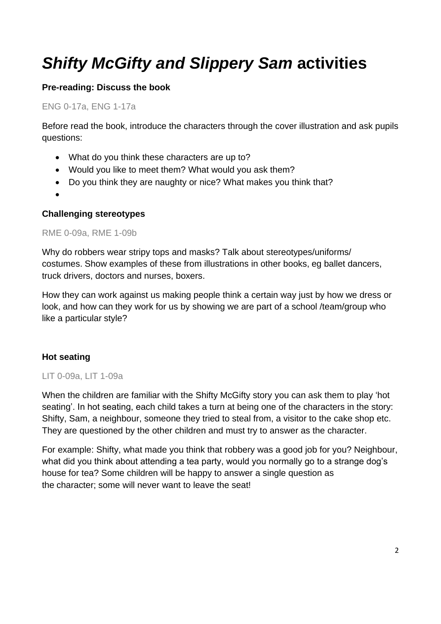# *Shifty McGifty and Slippery Sam* **activities**

### **Pre-reading: Discuss the book**

#### ENG 0-17a, ENG 1-17a

Before read the book, introduce the characters through the cover illustration and ask pupils questions:

- What do you think these characters are up to?
- Would you like to meet them? What would you ask them?
- Do you think they are naughty or nice? What makes you think that?
- $\bullet$

#### **Challenging stereotypes**

#### RME 0-09a, RME 1-09b

Why do robbers wear stripy tops and masks? Talk about stereotypes/uniforms/ costumes. Show examples of these from illustrations in other books, eg ballet dancers, truck drivers, doctors and nurses, boxers.

How they can work against us making people think a certain way just by how we dress or look, and how can they work for us by showing we are part of a school /team/group who like a particular style?

#### **Hot seating**

#### LIT 0-09a, LIT 1-09a

When the children are familiar with the Shifty McGifty story you can ask them to play 'hot seating'. In hot seating, each child takes a turn at being one of the characters in the story: Shifty, Sam, a neighbour, someone they tried to steal from, a visitor to the cake shop etc. They are questioned by the other children and must try to answer as the character.

For example: Shifty, what made you think that robbery was a good job for you? Neighbour, what did you think about attending a tea party, would you normally go to a strange dog's house for tea? Some children will be happy to answer a single question as the character; some will never want to leave the seat!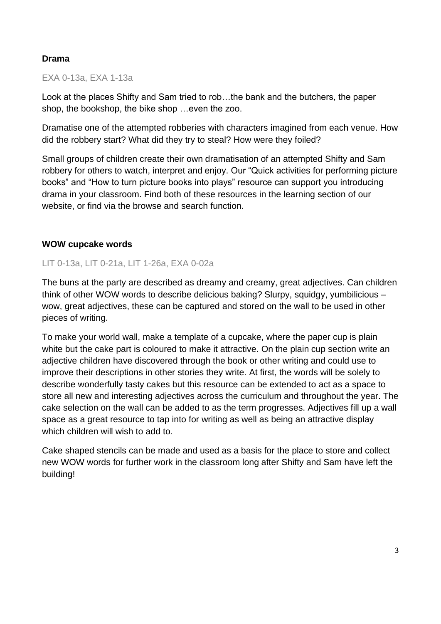#### **Drama**

#### EXA 0-13a, EXA 1-13a

Look at the places Shifty and Sam tried to rob…the bank and the butchers, the paper shop, the bookshop, the bike shop …even the zoo.

Dramatise one of the attempted robberies with characters imagined from each venue. How did the robbery start? What did they try to steal? How were they foiled?

Small groups of children create their own dramatisation of an attempted Shifty and Sam robbery for others to watch, interpret and enjoy. Our "Quick activities for performing picture books" and "How to turn picture books into plays" resource can support you introducing drama in your classroom. Find both of these resources in the learning section of our website, or find via the browse and search function.

#### **WOW cupcake words**

#### LIT 0-13a, LIT 0-21a, LIT 1-26a, EXA 0-02a

The buns at the party are described as dreamy and creamy, great adjectives. Can children think of other WOW words to describe delicious baking? Slurpy, squidgy, yumbilicious – wow, great adjectives, these can be captured and stored on the wall to be used in other pieces of writing.

To make your world wall, make a template of a cupcake, where the paper cup is plain white but the cake part is coloured to make it attractive. On the plain cup section write an adjective children have discovered through the book or other writing and could use to improve their descriptions in other stories they write. At first, the words will be solely to describe wonderfully tasty cakes but this resource can be extended to act as a space to store all new and interesting adjectives across the curriculum and throughout the year. The cake selection on the wall can be added to as the term progresses. Adjectives fill up a wall space as a great resource to tap into for writing as well as being an attractive display which children will wish to add to.

Cake shaped stencils can be made and used as a basis for the place to store and collect new WOW words for further work in the classroom long after Shifty and Sam have left the building!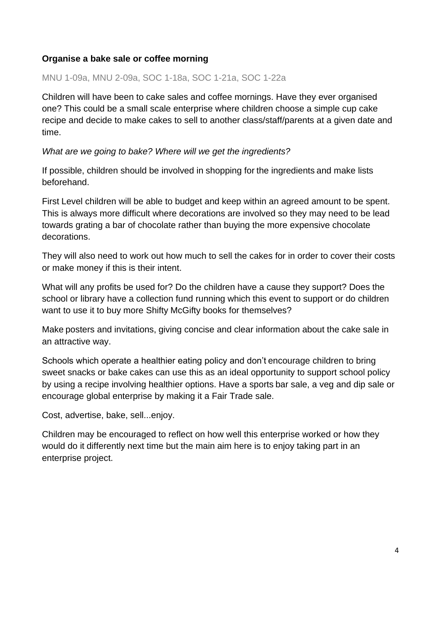#### **Organise a bake sale or coffee morning**

MNU 1-09a, MNU 2-09a, SOC 1-18a, SOC 1-21a, SOC 1-22a

Children will have been to cake sales and coffee mornings. Have they ever organised one? This could be a small scale enterprise where children choose a simple cup cake recipe and decide to make cakes to sell to another class/staff/parents at a given date and time.

*What are we going to bake? Where will we get the ingredients?*

If possible, children should be involved in shopping for the ingredients and make lists beforehand.

First Level children will be able to budget and keep within an agreed amount to be spent. This is always more difficult where decorations are involved so they may need to be lead towards grating a bar of chocolate rather than buying the more expensive chocolate decorations.

They will also need to work out how much to sell the cakes for in order to cover their costs or make money if this is their intent.

What will any profits be used for? Do the children have a cause they support? Does the school or library have a collection fund running which this event to support or do children want to use it to buy more Shifty McGifty books for themselves?

Make posters and invitations, giving concise and clear information about the cake sale in an attractive way.

Schools which operate a healthier eating policy and don't encourage children to bring sweet snacks or bake cakes can use this as an ideal opportunity to support school policy by using a recipe involving healthier options. Have a sports bar sale, a veg and dip sale or encourage global enterprise by making it a Fair Trade sale.

Cost, advertise, bake, sell...enjoy.

Children may be encouraged to reflect on how well this enterprise worked or how they would do it differently next time but the main aim here is to enjoy taking part in an enterprise project.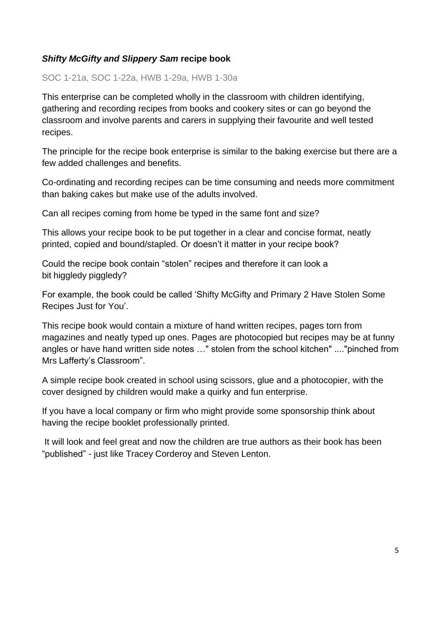### *Shifty McGifty and Slippery Sam* **recipe book**

SOC 1-21a, SOC 1-22a, HWB 1-29a, HWB 1-30a

This enterprise can be completed wholly in the classroom with children identifying, gathering and recording recipes from books and cookery sites or can go beyond the classroom and involve parents and carers in supplying their favourite and well tested recipes.

The principle for the recipe book enterprise is similar to the baking exercise but there are a few added challenges and benefits.

Co-ordinating and recording recipes can be time consuming and needs more commitment than baking cakes but make use of the adults involved.

Can all recipes coming from home be typed in the same font and size?

This allows your recipe book to be put together in a clear and concise format, neatly printed, copied and bound/stapled. Or doesn't it matter in your recipe book?

Could the recipe book contain "stolen" recipes and therefore it can look a bit higgledy piggledy?

For example, the book could be called 'Shifty McGifty and Primary 2 Have Stolen Some Recipes Just for You'.

This recipe book would contain a mixture of hand written recipes, pages torn from magazines and neatly typed up ones. Pages are photocopied but recipes may be at funny angles or have hand written side notes …" stolen from the school kitchen" ...."pinched from Mrs Lafferty's Classroom".

A simple recipe book created in school using scissors, glue and a photocopier, with the cover designed by children would make a quirky and fun enterprise.

If you have a local company or firm who might provide some sponsorship think about having the recipe booklet professionally printed.

It will look and feel great and now the children are true authors as their book has been "published" - just like Tracey Corderoy and Steven Lenton.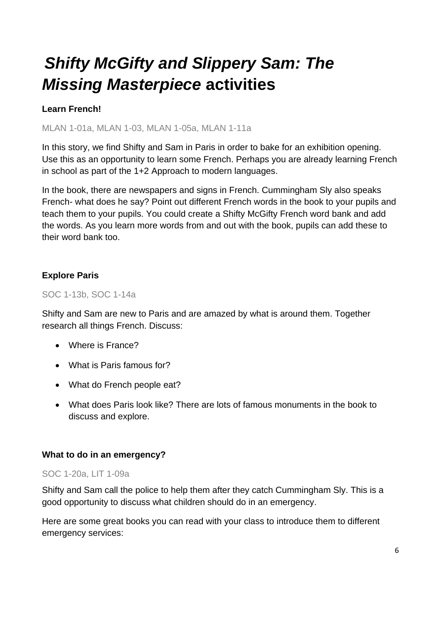# *Shifty McGifty and Slippery Sam: The Missing Masterpiece* **activities**

### **Learn French!**

MLAN 1-01a, MLAN 1-03, MLAN 1-05a, MLAN 1-11a

In this story, we find Shifty and Sam in Paris in order to bake for an exhibition opening. Use this as an opportunity to learn some French. Perhaps you are already learning French in school as part of the 1+2 Approach to modern languages.

In the book, there are newspapers and signs in French. Cummingham SIy also speaks French- what does he say? Point out different French words in the book to your pupils and teach them to your pupils. You could create a Shifty McGifty French word bank and add the words. As you learn more words from and out with the book, pupils can add these to their word bank too.

### **Explore Paris**

#### SOC 1-13b, SOC 1-14a

Shifty and Sam are new to Paris and are amazed by what is around them. Together research all things French. Discuss:

- Where is France?
- What is Paris famous for?
- What do French people eat?
- What does Paris look like? There are lots of famous monuments in the book to discuss and explore.

#### **What to do in an emergency?**

#### SOC 1-20a, LIT 1-09a

Shifty and Sam call the police to help them after they catch Cummingham Sly. This is a good opportunity to discuss what children should do in an emergency.

Here are some great books you can read with your class to introduce them to different emergency services: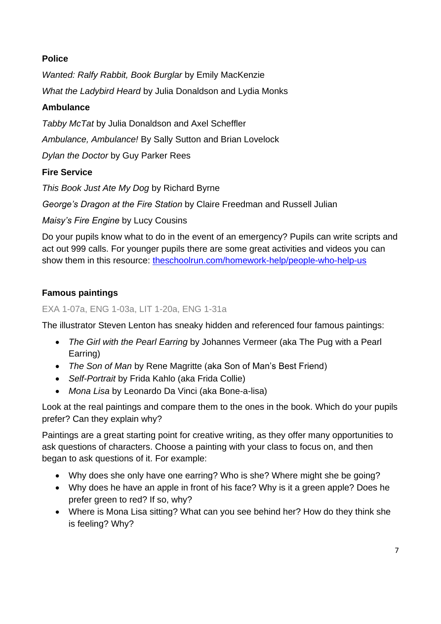### **Police**

*Wanted: Ralfy Rabbit, Book Burglar* by Emily MacKenzie

*What the Ladybird Heard* by Julia Donaldson and Lydia Monks

## **Ambulance**

*Tabby McTat* by Julia Donaldson and Axel Scheffler

*Ambulance, Ambulance!* By Sally Sutton and Brian Lovelock

*Dylan the Doctor* by Guy Parker Rees

## **Fire Service**

*This Book Just Ate My Dog* by Richard Byrne

*George's Dragon at the Fire Station* by Claire Freedman and Russell Julian

*Maisy's Fire Engine* by Lucy Cousins

Do your pupils know what to do in the event of an emergency? Pupils can write scripts and act out 999 calls. For younger pupils there are some great activities and videos you can show them in this resource: [theschoolrun.com/homework-help/people-who-help-us](https://www.theschoolrun.com/homework-help/people-who-help-us)

# **Famous paintings**

### EXA 1-07a, ENG 1-03a, LIT 1-20a, ENG 1-31a

The illustrator Steven Lenton has sneaky hidden and referenced four famous paintings:

- *The Girl with the Pearl Earring* by Johannes Vermeer (aka The Pug with a Pearl Earring)
- *The Son of Man* by Rene Magritte (aka Son of Man's Best Friend)
- *Self-Portrait* by Frida Kahlo (aka Frida Collie)
- *Mona Lisa* by Leonardo Da Vinci (aka Bone-a-lisa)

Look at the real paintings and compare them to the ones in the book. Which do your pupils prefer? Can they explain why?

Paintings are a great starting point for creative writing, as they offer many opportunities to ask questions of characters. Choose a painting with your class to focus on, and then began to ask questions of it. For example:

- Why does she only have one earring? Who is she? Where might she be going?
- Why does he have an apple in front of his face? Why is it a green apple? Does he prefer green to red? If so, why?
- Where is Mona Lisa sitting? What can you see behind her? How do they think she is feeling? Why?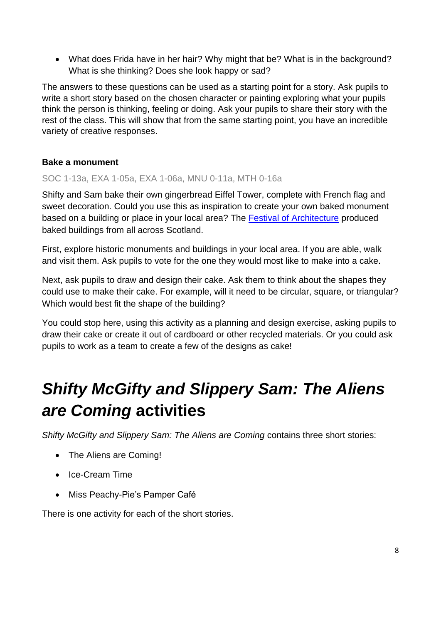What does Frida have in her hair? Why might that be? What is in the background? What is she thinking? Does she look happy or sad?

The answers to these questions can be used as a starting point for a story. Ask pupils to write a short story based on the chosen character or painting exploring what your pupils think the person is thinking, feeling or doing. Ask your pupils to share their story with the rest of the class. This will show that from the same starting point, you have an incredible variety of creative responses.

### **Bake a monument**

#### SOC 1-13a, EXA 1-05a, EXA 1-06a, MNU 0-11a, MTH 0-16a

Shifty and Sam bake their own gingerbread Eiffel Tower, complete with French flag and sweet decoration. Could you use this as inspiration to create your own baked monument based on a building or place in your local area? The [Festival of Architecture](https://news.stv.tv/west-central/1366773-bake-off-scotland-s-most-famous-landmarks-recreated-in-cake/?top) produced baked buildings from all across Scotland.

First, explore historic monuments and buildings in your local area. If you are able, walk and visit them. Ask pupils to vote for the one they would most like to make into a cake.

Next, ask pupils to draw and design their cake. Ask them to think about the shapes they could use to make their cake. For example, will it need to be circular, square, or triangular? Which would best fit the shape of the building?

You could stop here, using this activity as a planning and design exercise, asking pupils to draw their cake or create it out of cardboard or other recycled materials. Or you could ask pupils to work as a team to create a few of the designs as cake!

# *Shifty McGifty and Slippery Sam: The Aliens are Coming* **activities**

*Shifty McGifty and Slippery Sam: The Aliens are Coming* contains three short stories:

- The Aliens are Coming!
- Ice-Cream Time
- Miss Peachy-Pie's Pamper Café

There is one activity for each of the short stories.